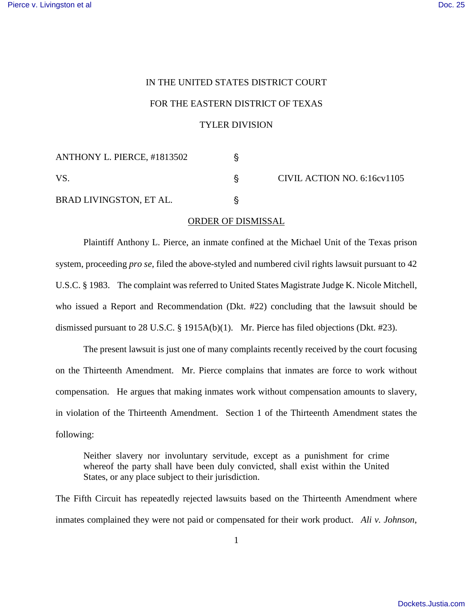## IN THE UNITED STATES DISTRICT COURT FOR THE EASTERN DISTRICT OF TEXAS TYLER DIVISION

| ANTHONY L. PIERCE, #1813502 |                             |
|-----------------------------|-----------------------------|
| VS.                         | CIVIL ACTION NO. 6:16cv1105 |
| BRAD LIVINGSTON, ET AL.     |                             |

## ORDER OF DISMISSAL

Plaintiff Anthony L. Pierce, an inmate confined at the Michael Unit of the Texas prison system, proceeding *pro se*, filed the above-styled and numbered civil rights lawsuit pursuant to 42 U.S.C. § 1983. The complaint was referred to United States Magistrate Judge K. Nicole Mitchell, who issued a Report and Recommendation (Dkt. #22) concluding that the lawsuit should be dismissed pursuant to 28 U.S.C. § 1915A(b)(1). Mr. Pierce has filed objections (Dkt. #23).

The present lawsuit is just one of many complaints recently received by the court focusing on the Thirteenth Amendment. Mr. Pierce complains that inmates are force to work without compensation. He argues that making inmates work without compensation amounts to slavery, in violation of the Thirteenth Amendment. Section 1 of the Thirteenth Amendment states the following:

Neither slavery nor involuntary servitude, except as a punishment for crime whereof the party shall have been duly convicted, shall exist within the United States, or any place subject to their jurisdiction.

The Fifth Circuit has repeatedly rejected lawsuits based on the Thirteenth Amendment where inmates complained they were not paid or compensated for their work product. *Ali v. Johnson*,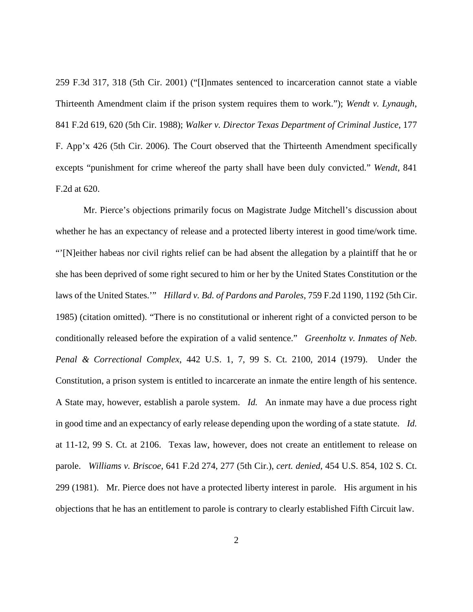259 F.3d 317, 318 (5th Cir. 2001) ("[I]nmates sentenced to incarceration cannot state a viable Thirteenth Amendment claim if the prison system requires them to work."); *Wendt v. Lynaugh*, 841 F.2d 619, 620 (5th Cir. 1988); *Walker v. Director Texas Department of Criminal Justice*, 177 F. App'x 426 (5th Cir. 2006). The Court observed that the Thirteenth Amendment specifically excepts "punishment for crime whereof the party shall have been duly convicted." *Wendt*, 841 F.2d at 620.

Mr. Pierce's objections primarily focus on Magistrate Judge Mitchell's discussion about whether he has an expectancy of release and a protected liberty interest in good time/work time. "'[N]either habeas nor civil rights relief can be had absent the allegation by a plaintiff that he or she has been deprived of some right secured to him or her by the United States Constitution or the laws of the United States.'" *Hillard v. Bd. of Pardons and Paroles*, 759 F.2d 1190, 1192 (5th Cir. 1985) (citation omitted). "There is no constitutional or inherent right of a convicted person to be conditionally released before the expiration of a valid sentence." *Greenholtz v. Inmates of Neb. Penal & Correctional Complex*, 442 U.S. 1, 7, 99 S. Ct. 2100, 2014 (1979). Under the Constitution, a prison system is entitled to incarcerate an inmate the entire length of his sentence. A State may, however, establish a parole system. *Id.* An inmate may have a due process right in good time and an expectancy of early release depending upon the wording of a state statute. *Id.* at 11-12, 99 S. Ct. at 2106. Texas law, however, does not create an entitlement to release on parole. *Williams v. Briscoe*, 641 F.2d 274, 277 (5th Cir.), *cert. denied*, 454 U.S. 854, 102 S. Ct. 299 (1981). Mr. Pierce does not have a protected liberty interest in parole. His argument in his objections that he has an entitlement to parole is contrary to clearly established Fifth Circuit law.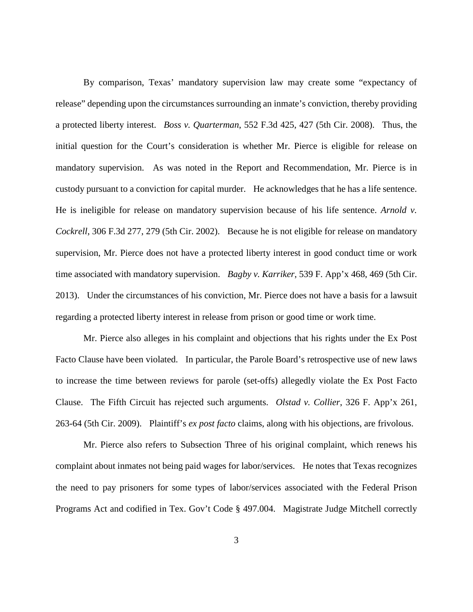By comparison, Texas' mandatory supervision law may create some "expectancy of release" depending upon the circumstances surrounding an inmate's conviction, thereby providing a protected liberty interest. *Boss v. Quarterman*, 552 F.3d 425, 427 (5th Cir. 2008). Thus, the initial question for the Court's consideration is whether Mr. Pierce is eligible for release on mandatory supervision. As was noted in the Report and Recommendation, Mr. Pierce is in custody pursuant to a conviction for capital murder. He acknowledges that he has a life sentence. He is ineligible for release on mandatory supervision because of his life sentence. *Arnold v. Cockrell*, 306 F.3d 277, 279 (5th Cir. 2002). Because he is not eligible for release on mandatory supervision, Mr. Pierce does not have a protected liberty interest in good conduct time or work time associated with mandatory supervision. *Bagby v. Karriker*, 539 F. App'x 468, 469 (5th Cir. 2013). Under the circumstances of his conviction, Mr. Pierce does not have a basis for a lawsuit regarding a protected liberty interest in release from prison or good time or work time.

Mr. Pierce also alleges in his complaint and objections that his rights under the Ex Post Facto Clause have been violated. In particular, the Parole Board's retrospective use of new laws to increase the time between reviews for parole (set-offs) allegedly violate the Ex Post Facto Clause. The Fifth Circuit has rejected such arguments. *Olstad v. Collier*, 326 F. App'x 261, 263-64 (5th Cir. 2009). Plaintiff's *ex post facto* claims, along with his objections, are frivolous.

Mr. Pierce also refers to Subsection Three of his original complaint, which renews his complaint about inmates not being paid wages for labor/services. He notes that Texas recognizes the need to pay prisoners for some types of labor/services associated with the Federal Prison Programs Act and codified in Tex. Gov't Code § 497.004. Magistrate Judge Mitchell correctly